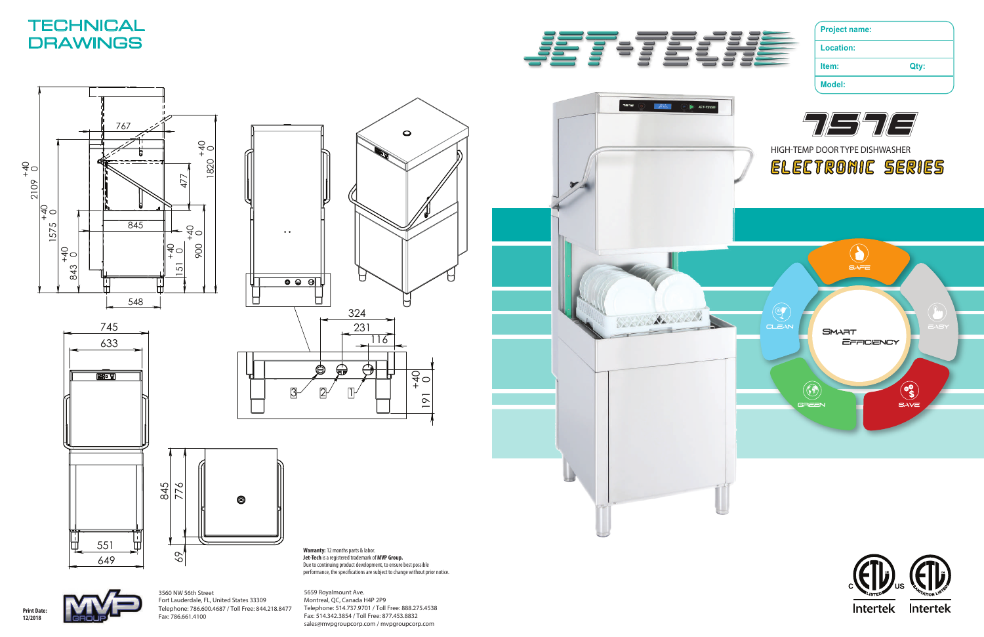**Warranty:** 12 months parts & labor. **Jet-Tech** is a registered trademark of **MVP Group.** Due to continuing product development, to ensure best possible performance, the specications are subject to change without prior notice. **Project name:**

**Location:**

**Item: Qty:**

**Model:**







**Print Date: 12/2018**







# **TECHNICAL DRAWINGS**





191





5659 Royalmount Ave. Montreal, QC, Canada H4P 2P9 Telephone: 514.737.9701 / Toll Free: 888.275.4538 Fax: 514.342.3854 / Toll Free: 877.453.8832 sales@mvpgroupcorp.com / mvpgroupcorp.com

3560 NW 56th Street Fort Lauderdale, FL, United States 33309 Telephone: 786.600.4687 / Toll Free: 844.218.8477 Fax: 786.661.4100